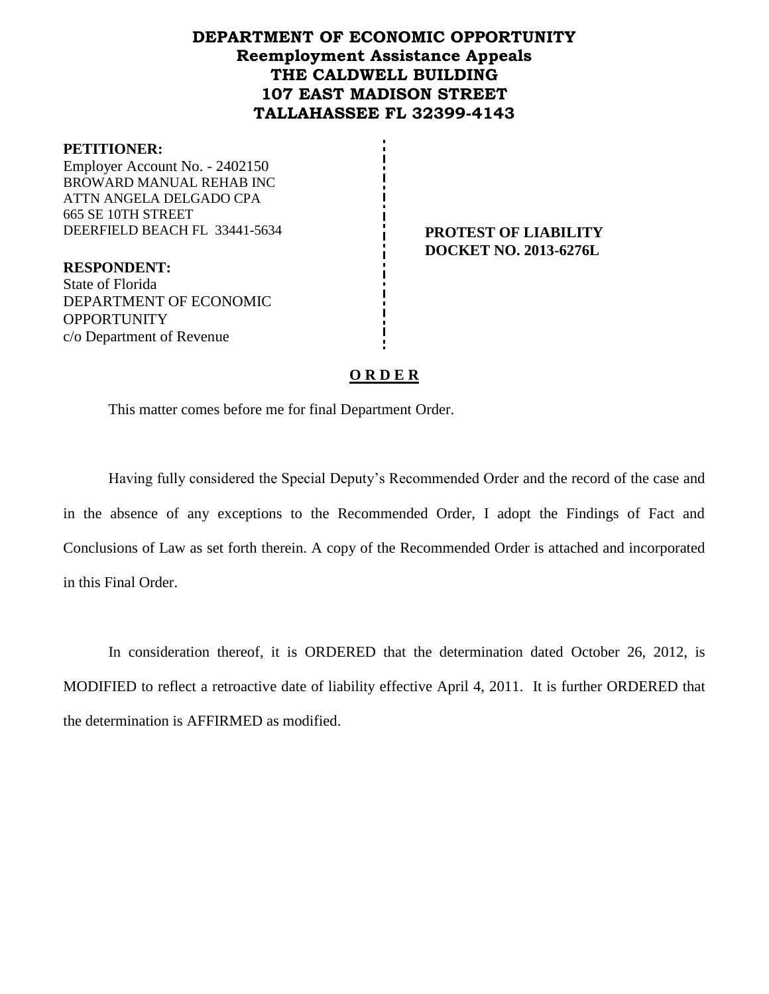# **DEPARTMENT OF ECONOMIC OPPORTUNITY Reemployment Assistance Appeals THE CALDWELL BUILDING 107 EAST MADISON STREET TALLAHASSEE FL 32399-4143**

#### **PETITIONER:**

Employer Account No. - 2402150 BROWARD MANUAL REHAB INC ATTN ANGELA DELGADO CPA 665 SE 10TH STREET DEERFIELD BEACH FL 33441-5634 **PROTEST OF LIABILITY**

**DOCKET NO. 2013-6276L**

**RESPONDENT:** State of Florida DEPARTMENT OF ECONOMIC **OPPORTUNITY** c/o Department of Revenue

## **O R D E R**

This matter comes before me for final Department Order.

Having fully considered the Special Deputy's Recommended Order and the record of the case and in the absence of any exceptions to the Recommended Order, I adopt the Findings of Fact and Conclusions of Law as set forth therein. A copy of the Recommended Order is attached and incorporated in this Final Order.

In consideration thereof, it is ORDERED that the determination dated October 26, 2012, is MODIFIED to reflect a retroactive date of liability effective April 4, 2011. It is further ORDERED that the determination is AFFIRMED as modified.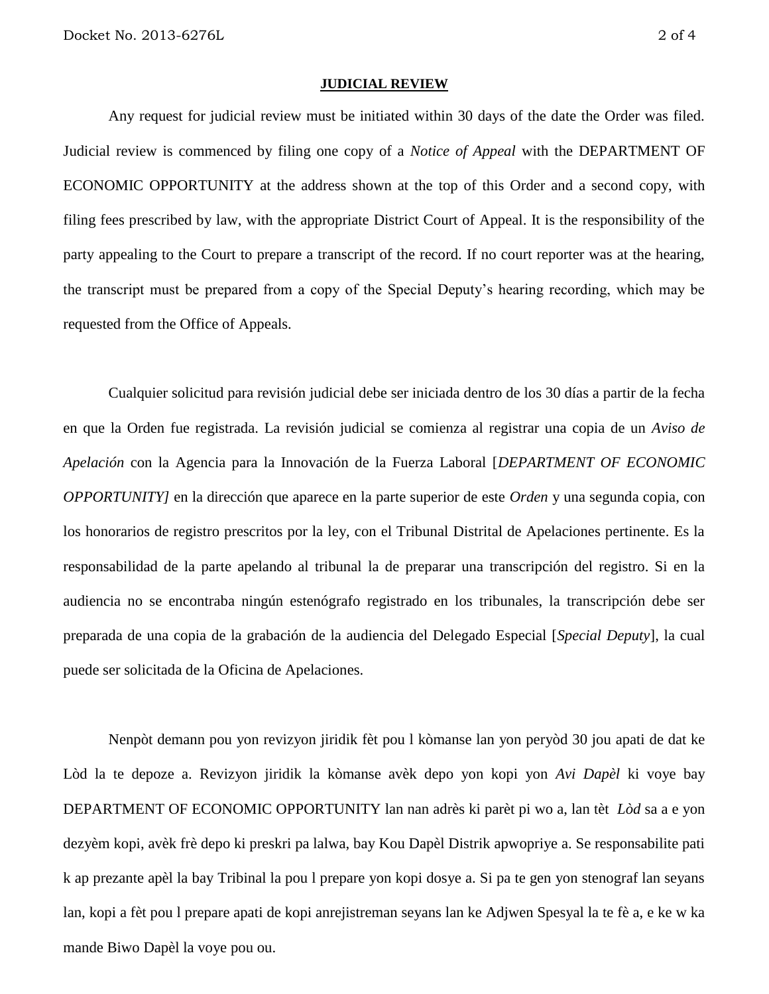#### **JUDICIAL REVIEW**

Any request for judicial review must be initiated within 30 days of the date the Order was filed. Judicial review is commenced by filing one copy of a *Notice of Appeal* with the DEPARTMENT OF ECONOMIC OPPORTUNITY at the address shown at the top of this Order and a second copy, with filing fees prescribed by law, with the appropriate District Court of Appeal. It is the responsibility of the party appealing to the Court to prepare a transcript of the record. If no court reporter was at the hearing, the transcript must be prepared from a copy of the Special Deputy's hearing recording, which may be requested from the Office of Appeals.

Cualquier solicitud para revisión judicial debe ser iniciada dentro de los 30 días a partir de la fecha en que la Orden fue registrada. La revisión judicial se comienza al registrar una copia de un *Aviso de Apelación* con la Agencia para la Innovación de la Fuerza Laboral [*DEPARTMENT OF ECONOMIC OPPORTUNITY]* en la dirección que aparece en la parte superior de este *Orden* y una segunda copia, con los honorarios de registro prescritos por la ley, con el Tribunal Distrital de Apelaciones pertinente. Es la responsabilidad de la parte apelando al tribunal la de preparar una transcripción del registro. Si en la audiencia no se encontraba ningún estenógrafo registrado en los tribunales, la transcripción debe ser preparada de una copia de la grabación de la audiencia del Delegado Especial [*Special Deputy*], la cual puede ser solicitada de la Oficina de Apelaciones.

Nenpòt demann pou yon revizyon jiridik fèt pou l kòmanse lan yon peryòd 30 jou apati de dat ke Lòd la te depoze a. Revizyon jiridik la kòmanse avèk depo yon kopi yon *Avi Dapèl* ki voye bay DEPARTMENT OF ECONOMIC OPPORTUNITY lan nan adrès ki parèt pi wo a, lan tèt *Lòd* sa a e yon dezyèm kopi, avèk frè depo ki preskri pa lalwa, bay Kou Dapèl Distrik apwopriye a. Se responsabilite pati k ap prezante apèl la bay Tribinal la pou l prepare yon kopi dosye a. Si pa te gen yon stenograf lan seyans lan, kopi a fèt pou l prepare apati de kopi anrejistreman seyans lan ke Adjwen Spesyal la te fè a, e ke w ka mande Biwo Dapèl la voye pou ou.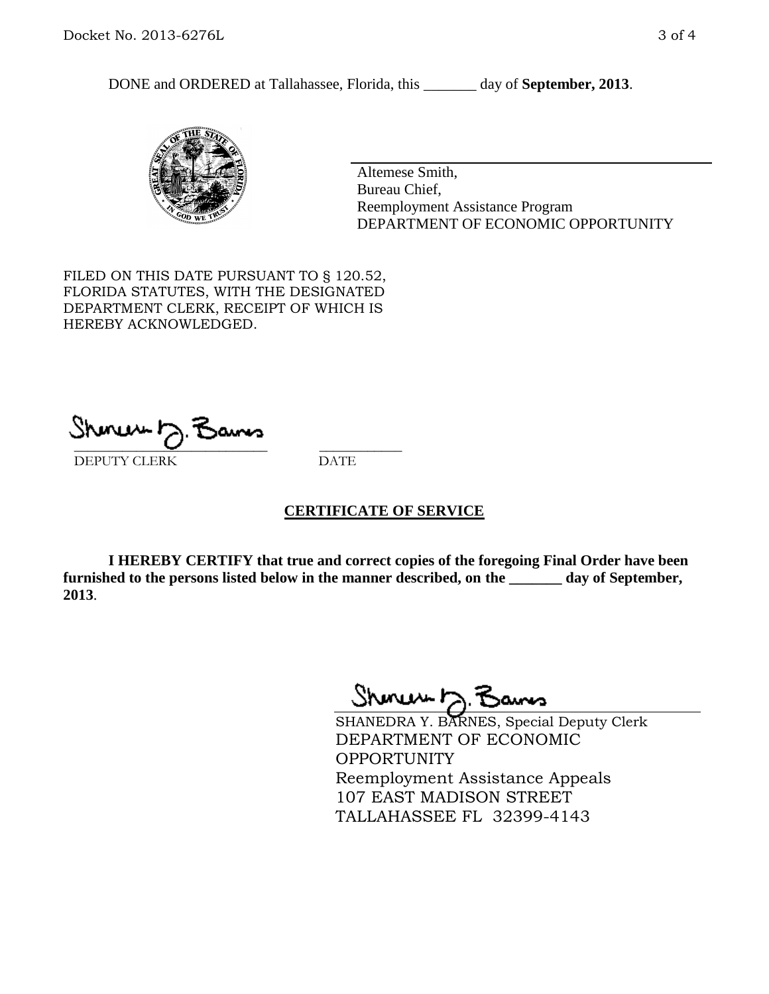DONE and ORDERED at Tallahassee, Florida, this \_\_\_\_\_\_\_ day of **September, 2013**.



Altemese Smith, Bureau Chief, Reemployment Assistance Program DEPARTMENT OF ECONOMIC OPPORTUNITY

FILED ON THIS DATE PURSUANT TO § 120.52, FLORIDA STATUTES, WITH THE DESIGNATED DEPARTMENT CLERK, RECEIPT OF WHICH IS HEREBY ACKNOWLEDGED.

 $\overline{\phantom{a}}$  ,  $\overline{\phantom{a}}$  ,  $\overline{\phantom{a}}$  ,  $\overline{\phantom{a}}$  ,  $\overline{\phantom{a}}$  ,  $\overline{\phantom{a}}$  ,  $\overline{\phantom{a}}$  ,  $\overline{\phantom{a}}$ DEPUTY CLERK DATE

## **CERTIFICATE OF SERVICE**

**I HEREBY CERTIFY that true and correct copies of the foregoing Final Order have been furnished to the persons listed below in the manner described, on the \_\_\_\_\_\_\_ day of September, 2013**.

Shoner D. Bans

SHANEDRA Y. BARNES, Special Deputy Clerk DEPARTMENT OF ECONOMIC OPPORTUNITY Reemployment Assistance Appeals 107 EAST MADISON STREET TALLAHASSEE FL 32399-4143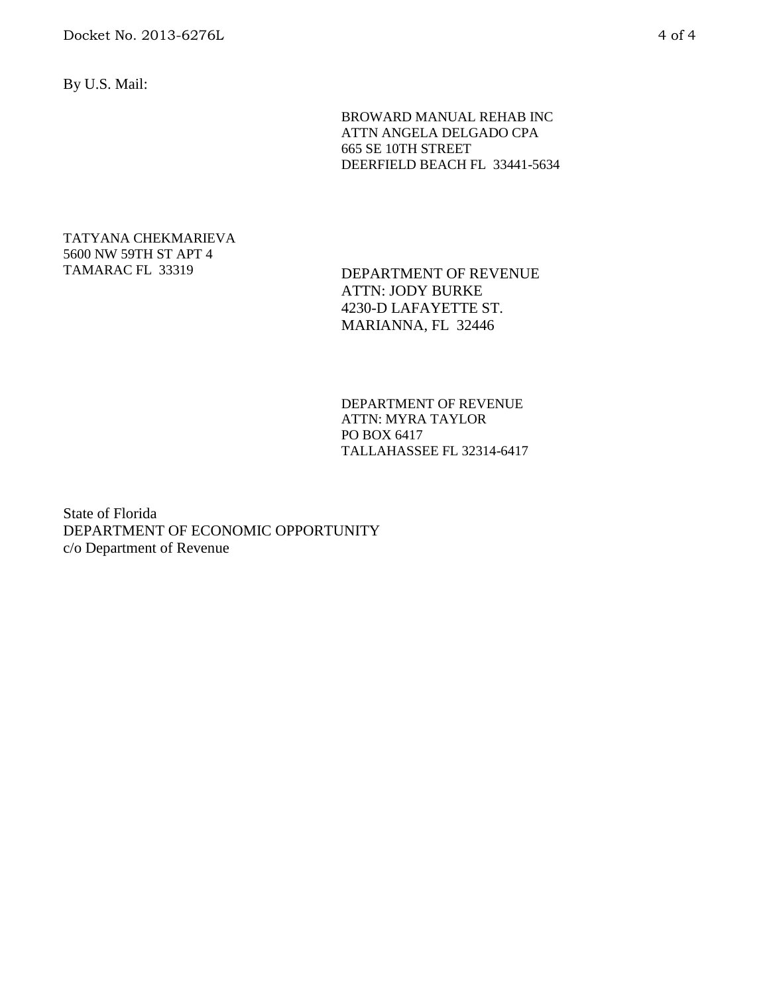By U.S. Mail:

BROWARD MANUAL REHAB INC ATTN ANGELA DELGADO CPA 665 SE 10TH STREET DEERFIELD BEACH FL 33441-5634

# TATYANA CHEKMARIEVA 5600 NW 59TH ST APT 4

TAMARAC FL 33319 DEPARTMENT OF REVENUE ATTN: JODY BURKE 4230-D LAFAYETTE ST. MARIANNA, FL 32446

> DEPARTMENT OF REVENUE ATTN: MYRA TAYLOR PO BOX 6417 TALLAHASSEE FL 32314-6417

State of Florida DEPARTMENT OF ECONOMIC OPPORTUNITY c/o Department of Revenue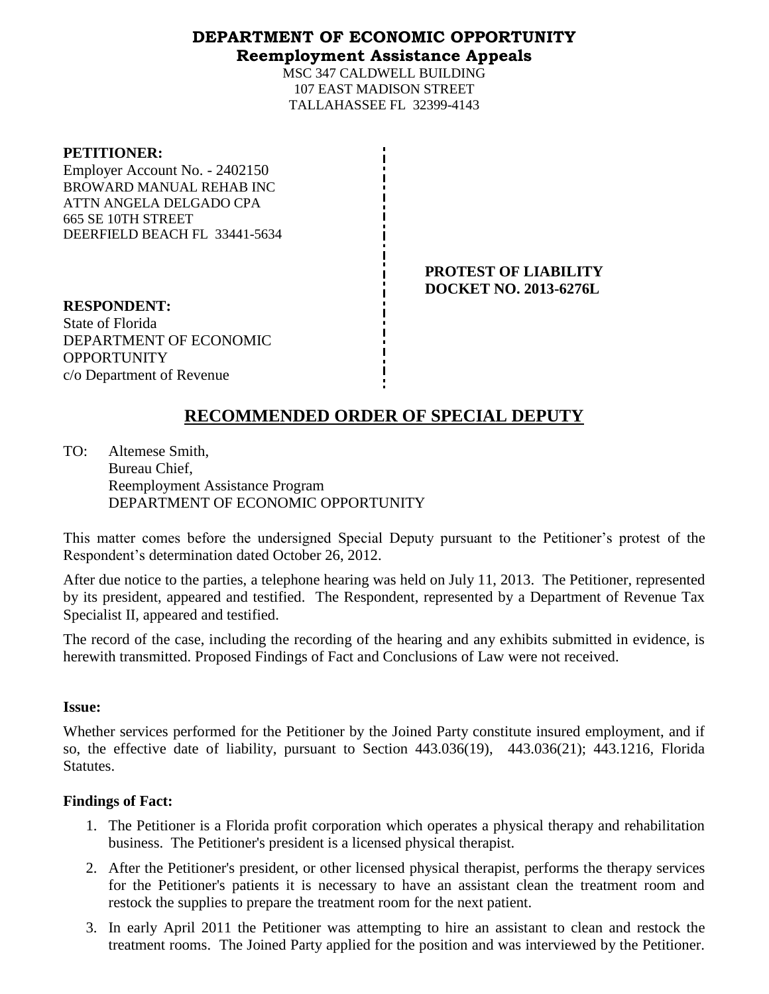# **DEPARTMENT OF ECONOMIC OPPORTUNITY Reemployment Assistance Appeals**

MSC 347 CALDWELL BUILDING 107 EAST MADISON STREET TALLAHASSEE FL 32399-4143

#### **PETITIONER:**

Employer Account No. - 2402150 BROWARD MANUAL REHAB INC ATTN ANGELA DELGADO CPA 665 SE 10TH STREET DEERFIELD BEACH FL 33441-5634

> **PROTEST OF LIABILITY DOCKET NO. 2013-6276L**

**RESPONDENT:** State of Florida DEPARTMENT OF ECONOMIC **OPPORTUNITY** c/o Department of Revenue

# **RECOMMENDED ORDER OF SPECIAL DEPUTY**

TO: Altemese Smith, Bureau Chief, Reemployment Assistance Program DEPARTMENT OF ECONOMIC OPPORTUNITY

This matter comes before the undersigned Special Deputy pursuant to the Petitioner's protest of the Respondent's determination dated October 26, 2012.

After due notice to the parties, a telephone hearing was held on July 11, 2013. The Petitioner, represented by its president, appeared and testified. The Respondent, represented by a Department of Revenue Tax Specialist II, appeared and testified.

The record of the case, including the recording of the hearing and any exhibits submitted in evidence, is herewith transmitted. Proposed Findings of Fact and Conclusions of Law were not received.

## **Issue:**

Whether services performed for the Petitioner by the Joined Party constitute insured employment, and if so, the effective date of liability, pursuant to Section 443.036(19), 443.036(21); 443.1216, Florida Statutes.

## **Findings of Fact:**

- 1. The Petitioner is a Florida profit corporation which operates a physical therapy and rehabilitation business. The Petitioner's president is a licensed physical therapist.
- 2. After the Petitioner's president, or other licensed physical therapist, performs the therapy services for the Petitioner's patients it is necessary to have an assistant clean the treatment room and restock the supplies to prepare the treatment room for the next patient.
- 3. In early April 2011 the Petitioner was attempting to hire an assistant to clean and restock the treatment rooms. The Joined Party applied for the position and was interviewed by the Petitioner.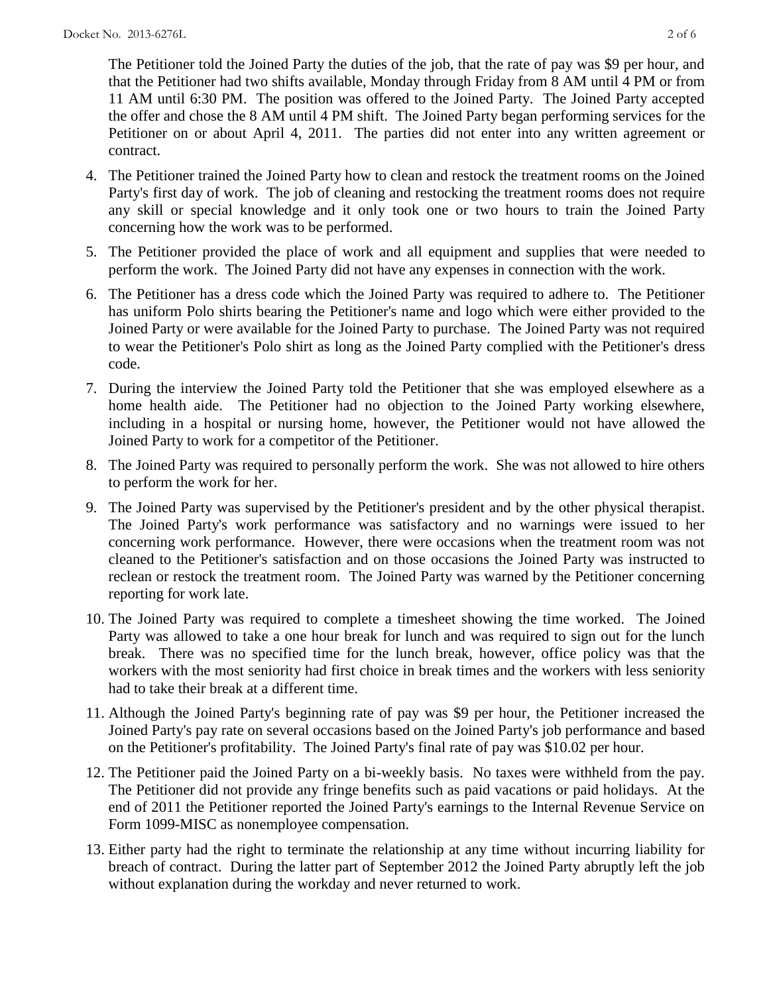The Petitioner told the Joined Party the duties of the job, that the rate of pay was \$9 per hour, and that the Petitioner had two shifts available, Monday through Friday from 8 AM until 4 PM or from 11 AM until 6:30 PM. The position was offered to the Joined Party. The Joined Party accepted the offer and chose the 8 AM until 4 PM shift. The Joined Party began performing services for the Petitioner on or about April 4, 2011. The parties did not enter into any written agreement or contract.

- 4. The Petitioner trained the Joined Party how to clean and restock the treatment rooms on the Joined Party's first day of work. The job of cleaning and restocking the treatment rooms does not require any skill or special knowledge and it only took one or two hours to train the Joined Party concerning how the work was to be performed.
- 5. The Petitioner provided the place of work and all equipment and supplies that were needed to perform the work. The Joined Party did not have any expenses in connection with the work.
- 6. The Petitioner has a dress code which the Joined Party was required to adhere to. The Petitioner has uniform Polo shirts bearing the Petitioner's name and logo which were either provided to the Joined Party or were available for the Joined Party to purchase. The Joined Party was not required to wear the Petitioner's Polo shirt as long as the Joined Party complied with the Petitioner's dress code.
- 7. During the interview the Joined Party told the Petitioner that she was employed elsewhere as a home health aide. The Petitioner had no objection to the Joined Party working elsewhere, including in a hospital or nursing home, however, the Petitioner would not have allowed the Joined Party to work for a competitor of the Petitioner.
- 8. The Joined Party was required to personally perform the work. She was not allowed to hire others to perform the work for her.
- 9. The Joined Party was supervised by the Petitioner's president and by the other physical therapist. The Joined Party's work performance was satisfactory and no warnings were issued to her concerning work performance. However, there were occasions when the treatment room was not cleaned to the Petitioner's satisfaction and on those occasions the Joined Party was instructed to reclean or restock the treatment room. The Joined Party was warned by the Petitioner concerning reporting for work late.
- 10. The Joined Party was required to complete a timesheet showing the time worked. The Joined Party was allowed to take a one hour break for lunch and was required to sign out for the lunch break. There was no specified time for the lunch break, however, office policy was that the workers with the most seniority had first choice in break times and the workers with less seniority had to take their break at a different time.
- 11. Although the Joined Party's beginning rate of pay was \$9 per hour, the Petitioner increased the Joined Party's pay rate on several occasions based on the Joined Party's job performance and based on the Petitioner's profitability. The Joined Party's final rate of pay was \$10.02 per hour.
- 12. The Petitioner paid the Joined Party on a bi-weekly basis. No taxes were withheld from the pay. The Petitioner did not provide any fringe benefits such as paid vacations or paid holidays. At the end of 2011 the Petitioner reported the Joined Party's earnings to the Internal Revenue Service on Form 1099-MISC as nonemployee compensation.
- 13. Either party had the right to terminate the relationship at any time without incurring liability for breach of contract. During the latter part of September 2012 the Joined Party abruptly left the job without explanation during the workday and never returned to work.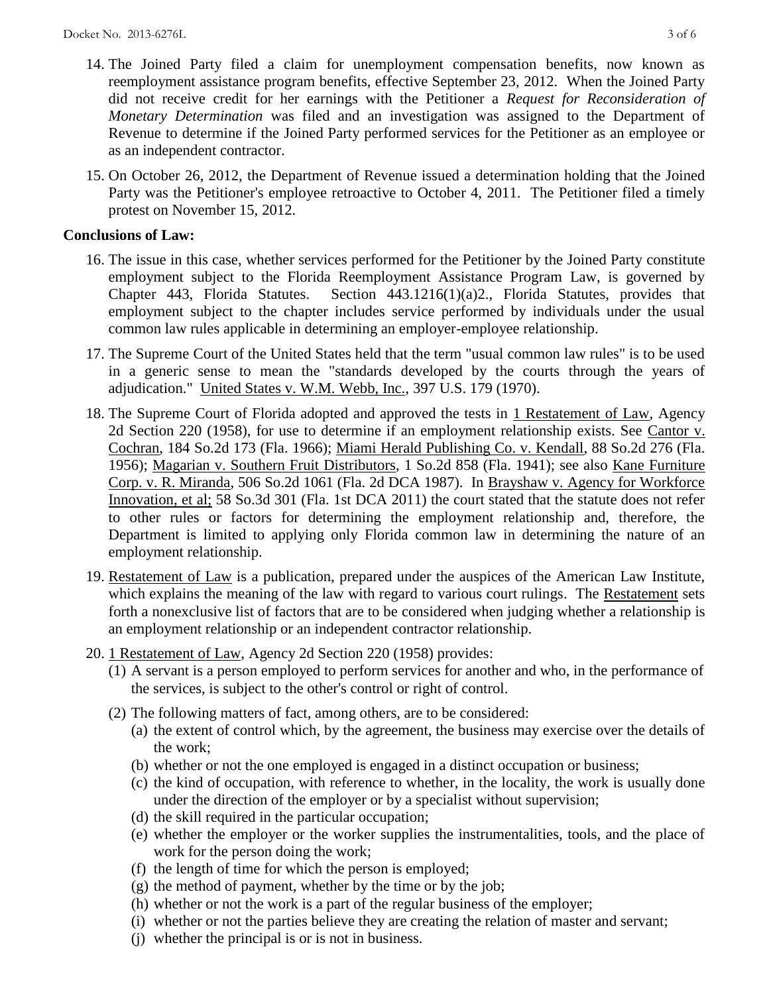- 14. The Joined Party filed a claim for unemployment compensation benefits, now known as reemployment assistance program benefits, effective September 23, 2012. When the Joined Party did not receive credit for her earnings with the Petitioner a *Request for Reconsideration of Monetary Determination* was filed and an investigation was assigned to the Department of Revenue to determine if the Joined Party performed services for the Petitioner as an employee or as an independent contractor.
- 15. On October 26, 2012, the Department of Revenue issued a determination holding that the Joined Party was the Petitioner's employee retroactive to October 4, 2011. The Petitioner filed a timely protest on November 15, 2012.

# **Conclusions of Law:**

- 16. The issue in this case, whether services performed for the Petitioner by the Joined Party constitute employment subject to the Florida Reemployment Assistance Program Law, is governed by Chapter 443, Florida Statutes. Section 443.1216(1)(a)2., Florida Statutes, provides that employment subject to the chapter includes service performed by individuals under the usual common law rules applicable in determining an employer-employee relationship.
- 17. The Supreme Court of the United States held that the term "usual common law rules" is to be used in a generic sense to mean the "standards developed by the courts through the years of adjudication." United States v. W.M. Webb, Inc., 397 U.S. 179 (1970).
- 18. The Supreme Court of Florida adopted and approved the tests in 1 Restatement of Law, Agency 2d Section 220 (1958), for use to determine if an employment relationship exists. See Cantor v. Cochran, 184 So.2d 173 (Fla. 1966); Miami Herald Publishing Co. v. Kendall, 88 So.2d 276 (Fla. 1956); Magarian v. Southern Fruit Distributors, 1 So.2d 858 (Fla. 1941); see also Kane Furniture Corp. v. R. Miranda, 506 So.2d 1061 (Fla. 2d DCA 1987). In Brayshaw v. Agency for Workforce Innovation, et al; 58 So.3d 301 (Fla. 1st DCA 2011) the court stated that the statute does not refer to other rules or factors for determining the employment relationship and, therefore, the Department is limited to applying only Florida common law in determining the nature of an employment relationship.
- 19. Restatement of Law is a publication, prepared under the auspices of the American Law Institute, which explains the meaning of the law with regard to various court rulings. The Restatement sets forth a nonexclusive list of factors that are to be considered when judging whether a relationship is an employment relationship or an independent contractor relationship.
- 20. 1 Restatement of Law, Agency 2d Section 220 (1958) provides:
	- (1) A servant is a person employed to perform services for another and who, in the performance of the services, is subject to the other's control or right of control.
	- (2) The following matters of fact, among others, are to be considered:
		- (a) the extent of control which, by the agreement, the business may exercise over the details of the work;
		- (b) whether or not the one employed is engaged in a distinct occupation or business;
		- (c) the kind of occupation, with reference to whether, in the locality, the work is usually done under the direction of the employer or by a specialist without supervision;
		- (d) the skill required in the particular occupation;
		- (e) whether the employer or the worker supplies the instrumentalities, tools, and the place of work for the person doing the work;
		- (f) the length of time for which the person is employed;
		- $(g)$  the method of payment, whether by the time or by the job;
		- (h) whether or not the work is a part of the regular business of the employer;
		- (i) whether or not the parties believe they are creating the relation of master and servant;
		- (j) whether the principal is or is not in business.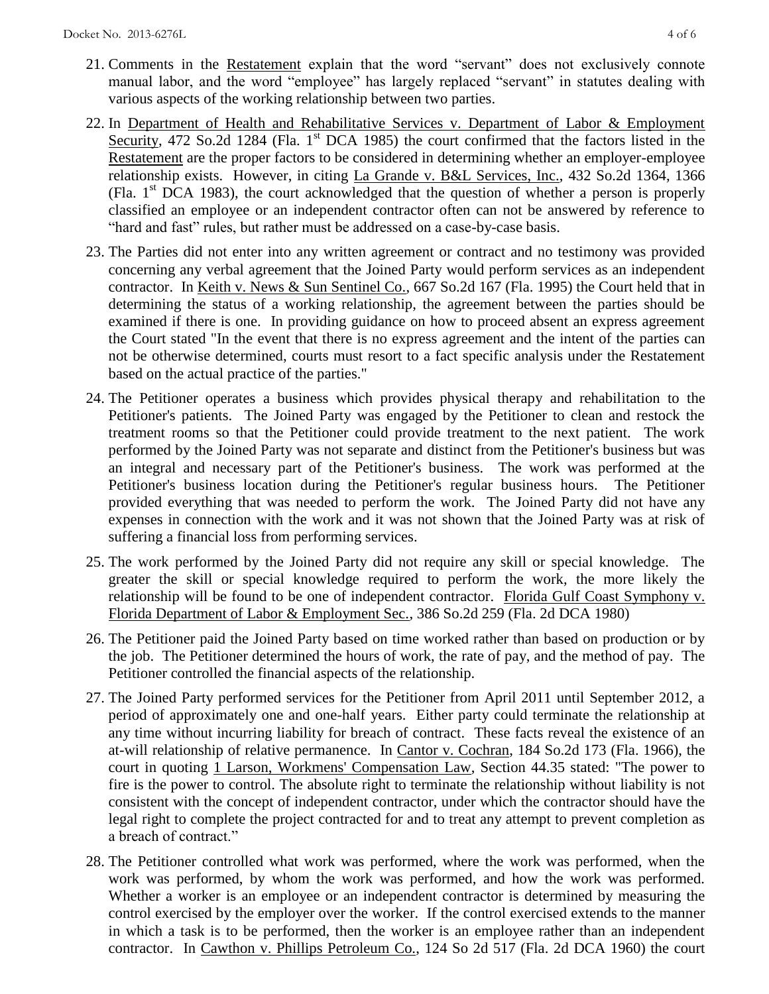- 21. Comments in the Restatement explain that the word "servant" does not exclusively connote manual labor, and the word "employee" has largely replaced "servant" in statutes dealing with various aspects of the working relationship between two parties.
- 22. In Department of Health and Rehabilitative Services v. Department of Labor & Employment Security, 472 So.2d 1284 (Fla. 1<sup>st</sup> DCA 1985) the court confirmed that the factors listed in the Restatement are the proper factors to be considered in determining whether an employer-employee relationship exists. However, in citing La Grande v. B&L Services, Inc., 432 So.2d 1364, 1366 (Fla.  $1<sup>st</sup> DCA$  1983), the court acknowledged that the question of whether a person is properly classified an employee or an independent contractor often can not be answered by reference to "hard and fast" rules, but rather must be addressed on a case-by-case basis.
- 23. The Parties did not enter into any written agreement or contract and no testimony was provided concerning any verbal agreement that the Joined Party would perform services as an independent contractor. In Keith v. News & Sun Sentinel Co., 667 So.2d 167 (Fla. 1995) the Court held that in determining the status of a working relationship, the agreement between the parties should be examined if there is one. In providing guidance on how to proceed absent an express agreement the Court stated "In the event that there is no express agreement and the intent of the parties can not be otherwise determined, courts must resort to a fact specific analysis under the Restatement based on the actual practice of the parties."
- 24. The Petitioner operates a business which provides physical therapy and rehabilitation to the Petitioner's patients. The Joined Party was engaged by the Petitioner to clean and restock the treatment rooms so that the Petitioner could provide treatment to the next patient. The work performed by the Joined Party was not separate and distinct from the Petitioner's business but was an integral and necessary part of the Petitioner's business. The work was performed at the Petitioner's business location during the Petitioner's regular business hours. The Petitioner provided everything that was needed to perform the work. The Joined Party did not have any expenses in connection with the work and it was not shown that the Joined Party was at risk of suffering a financial loss from performing services.
- 25. The work performed by the Joined Party did not require any skill or special knowledge. The greater the skill or special knowledge required to perform the work, the more likely the relationship will be found to be one of independent contractor. Florida Gulf Coast Symphony v. Florida Department of Labor & Employment Sec., 386 So.2d 259 (Fla. 2d DCA 1980)
- 26. The Petitioner paid the Joined Party based on time worked rather than based on production or by the job. The Petitioner determined the hours of work, the rate of pay, and the method of pay. The Petitioner controlled the financial aspects of the relationship.
- 27. The Joined Party performed services for the Petitioner from April 2011 until September 2012, a period of approximately one and one-half years. Either party could terminate the relationship at any time without incurring liability for breach of contract. These facts reveal the existence of an at-will relationship of relative permanence. In Cantor v. Cochran, 184 So.2d 173 (Fla. 1966), the court in quoting 1 Larson, Workmens' Compensation Law, Section 44.35 stated: "The power to fire is the power to control. The absolute right to terminate the relationship without liability is not consistent with the concept of independent contractor, under which the contractor should have the legal right to complete the project contracted for and to treat any attempt to prevent completion as a breach of contract."
- 28. The Petitioner controlled what work was performed, where the work was performed, when the work was performed, by whom the work was performed, and how the work was performed. Whether a worker is an employee or an independent contractor is determined by measuring the control exercised by the employer over the worker. If the control exercised extends to the manner in which a task is to be performed, then the worker is an employee rather than an independent contractor. In Cawthon v. Phillips Petroleum Co., 124 So 2d 517 (Fla. 2d DCA 1960) the court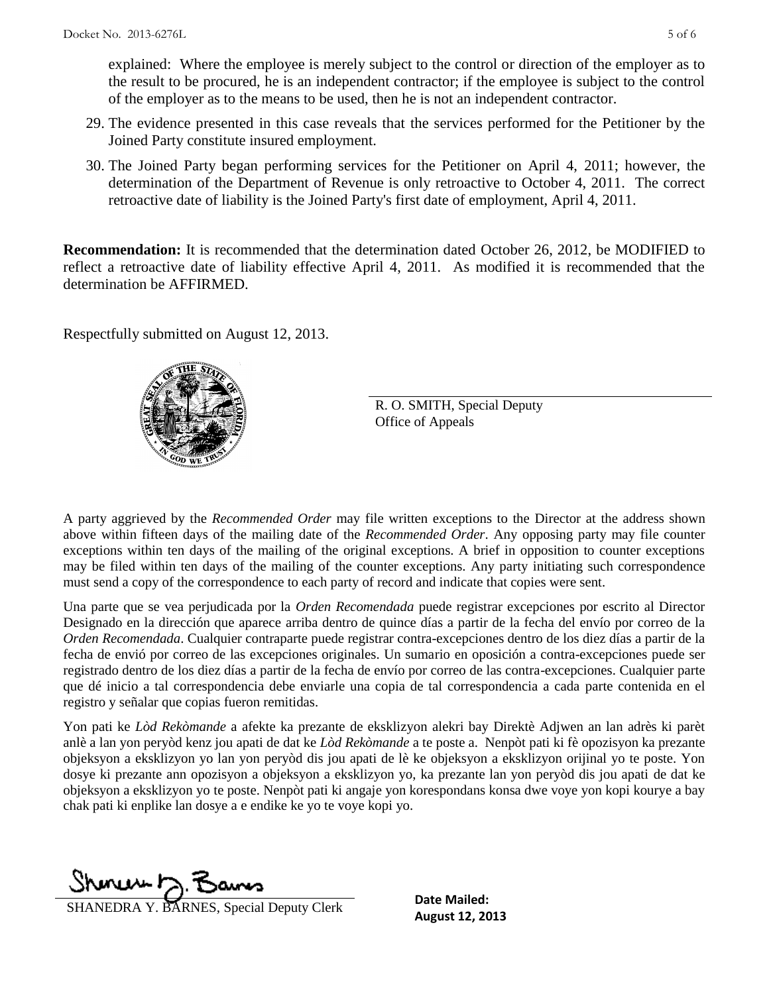explained: Where the employee is merely subject to the control or direction of the employer as to the result to be procured, he is an independent contractor; if the employee is subject to the control of the employer as to the means to be used, then he is not an independent contractor.

- 29. The evidence presented in this case reveals that the services performed for the Petitioner by the Joined Party constitute insured employment.
- 30. The Joined Party began performing services for the Petitioner on April 4, 2011; however, the determination of the Department of Revenue is only retroactive to October 4, 2011. The correct retroactive date of liability is the Joined Party's first date of employment, April 4, 2011.

**Recommendation:** It is recommended that the determination dated October 26, 2012, be MODIFIED to reflect a retroactive date of liability effective April 4, 2011. As modified it is recommended that the determination be AFFIRMED.

Respectfully submitted on August 12, 2013.



R. O. SMITH, Special Deputy Office of Appeals

A party aggrieved by the *Recommended Order* may file written exceptions to the Director at the address shown above within fifteen days of the mailing date of the *Recommended Order*. Any opposing party may file counter exceptions within ten days of the mailing of the original exceptions. A brief in opposition to counter exceptions may be filed within ten days of the mailing of the counter exceptions. Any party initiating such correspondence must send a copy of the correspondence to each party of record and indicate that copies were sent.

Una parte que se vea perjudicada por la *Orden Recomendada* puede registrar excepciones por escrito al Director Designado en la dirección que aparece arriba dentro de quince días a partir de la fecha del envío por correo de la *Orden Recomendada*. Cualquier contraparte puede registrar contra-excepciones dentro de los diez días a partir de la fecha de envió por correo de las excepciones originales. Un sumario en oposición a contra-excepciones puede ser registrado dentro de los diez días a partir de la fecha de envío por correo de las contra-excepciones. Cualquier parte que dé inicio a tal correspondencia debe enviarle una copia de tal correspondencia a cada parte contenida en el registro y señalar que copias fueron remitidas.

Yon pati ke *Lòd Rekòmande* a afekte ka prezante de eksklizyon alekri bay Direktè Adjwen an lan adrès ki parèt anlè a lan yon peryòd kenz jou apati de dat ke *Lòd Rekòmande* a te poste a. Nenpòt pati ki fè opozisyon ka prezante objeksyon a eksklizyon yo lan yon peryòd dis jou apati de lè ke objeksyon a eksklizyon orijinal yo te poste. Yon dosye ki prezante ann opozisyon a objeksyon a eksklizyon yo, ka prezante lan yon peryòd dis jou apati de dat ke objeksyon a eksklizyon yo te poste. Nenpòt pati ki angaje yon korespondans konsa dwe voye yon kopi kourye a bay chak pati ki enplike lan dosye a e endike ke yo te voye kopi yo.

Shoner D. Barns

**AUGUST 12, 2013**<br>**August 12, 2013** August 12, 2013

**Date Mailed:**